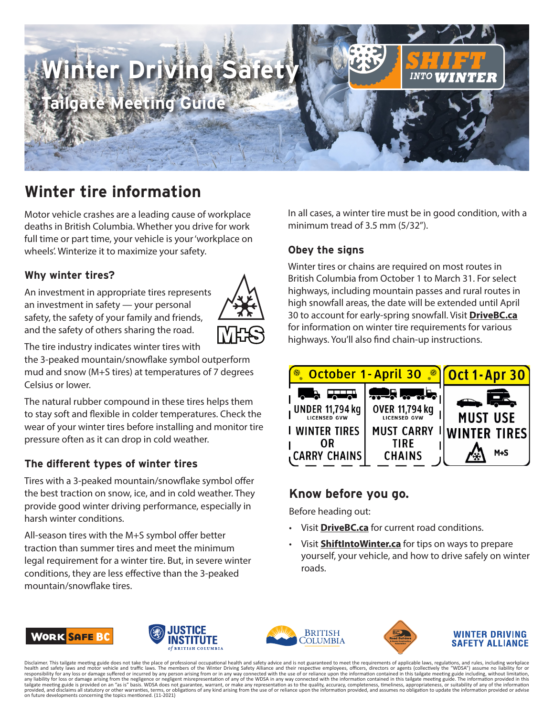

# **Winter tire information**

Motor vehicle crashes are a leading cause of workplace deaths in British Columbia. Whether you drive for work full time or part time, your vehicle is your 'workplace on wheels'. Winterize it to maximize your safety.

# **Why winter tires?**

An investment in appropriate tires represents an investment in safety — your personal safety, the safety of your family and friends, and the safety of others sharing the road.



The tire industry indicates winter tires with

the 3-peaked mountain/snowflake symbol outperform mud and snow (M+S tires) at temperatures of 7 degrees Celsius or lower.

The natural rubber compound in these tires helps them to stay soft and flexible in colder temperatures. Check the wear of your winter tires before installing and monitor tire pressure often as it can drop in cold weather.

# **The different types of winter tires**

Tires with a 3-peaked mountain/snowflake symbol offer the best traction on snow, ice, and in cold weather. They provide good winter driving performance, especially in harsh winter conditions.

All-season tires with the M+S symbol offer better traction than summer tires and meet the minimum legal requirement for a winter tire. But, in severe winter conditions, they are less effective than the 3-peaked mountain/snowflake tires.

In all cases, a winter tire must be in good condition, with a minimum tread of 3.5 mm (5/32").

## **Obey the signs**

Winter tires or chains are required on most routes in British Columbia from October 1 to March 31. For select highways, including mountain passes and rural routes in high snowfall areas, the date will be extended until April 30 to account for early-spring snowfall. Visit **[DriveBC.ca](https://www.drivebc.ca/)** for information on winter tire requirements for various highways. You'll also find chain-up instructions.



# **Know before you go.**

Before heading out:

- Visit **[DriveBC.ca](http://www.drivebc.ca/)** for current road conditions.
- Visit **[ShiftIntoWinter.ca](http://ShiftIntoWinter.ca)** for tips on ways to prepare yourself, your vehicle, and how to drive safely on winter roads.









#### WINTER DRIVING **SAFETY ALLIANCE**

Disclaimer. This tailgate meeting guide does not take the place of professional occupational health and safety advice and is not guaranteed to meet the requirements of applicable laws, regulations, and rules, including wor any liability for loss or damage arising from the negligence or negligent misrepresentation of any of the WDSA in any way connected with the information contained in this tailgate meeting guide. The information provided in on future developments concerning the topics mentioned. (11-2021)